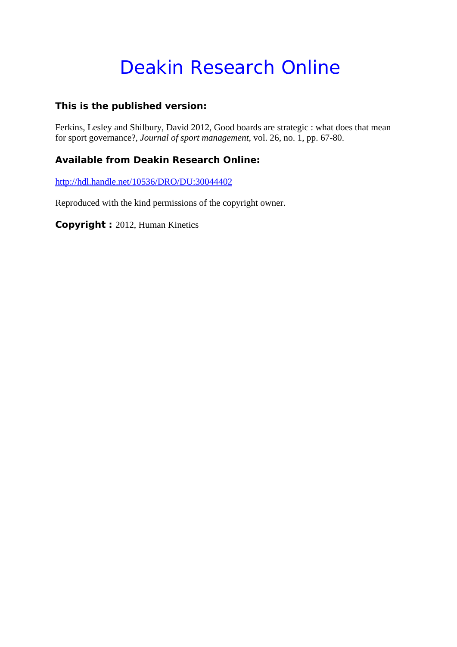# Deakin Research Online

# **This is the published version:**

Ferkins, Lesley and Shilbury, David 2012, Good boards are strategic : what does that mean for sport governance?*, Journal of sport management*, vol. 26, no. 1, pp. 67-80.

# **Available from Deakin Research Online:**

http://hdl.handle.net/10536/DRO/DU:30044402

Reproduced with the kind permissions of the copyright owner.

**Copyright :** 2012, Human Kinetics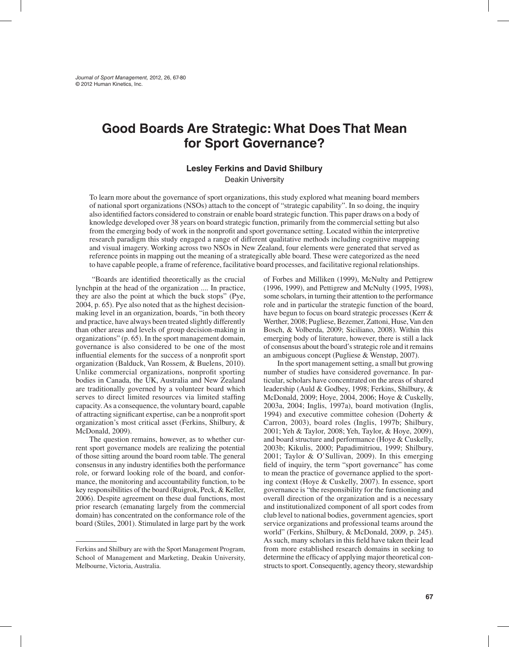# **Good Boards Are Strategic: What Does That Mean for Sport Governance?**

#### **Lesley Ferkins and David Shilbury**

Deakin University

To learn more about the governance of sport organizations, this study explored what meaning board members of national sport organizations (NSOs) attach to the concept of "strategic capability". In so doing, the inquiry also identified factors considered to constrain or enable board strategic function. This paper draws on a body of knowledge developed over 38 years on board strategic function, primarily from the commercial setting but also from the emerging body of work in the nonprofit and sport governance setting. Located within the interpretive research paradigm this study engaged a range of different qualitative methods including cognitive mapping and visual imagery. Working across two NSOs in New Zealand, four elements were generated that served as reference points in mapping out the meaning of a strategically able board. These were categorized as the need to have capable people, a frame of reference, facilitative board processes, and facilitative regional relationships.

 "Boards are identified theoretically as the crucial lynchpin at the head of the organization .... In practice, they are also the point at which the buck stops" (Pye, 2004, p. 65). Pye also noted that as the highest decisionmaking level in an organization, boards, "in both theory and practice, have always been treated slightly differently than other areas and levels of group decision-making in organizations" (p. 65). In the sport management domain, governance is also considered to be one of the most influential elements for the success of a nonprofit sport organization (Balduck, Van Rossem, & Buelens, 2010). Unlike commercial organizations, nonprofit sporting bodies in Canada, the UK, Australia and New Zealand are traditionally governed by a volunteer board which serves to direct limited resources via limited staffing capacity. As a consequence, the voluntary board, capable of attracting significant expertise, can be a nonprofit sport organization's most critical asset (Ferkins, Shilbury, & McDonald, 2009).

The question remains, however, as to whether current sport governance models are realizing the potential of those sitting around the board room table. The general consensus in any industry identifies both the performance role, or forward looking role of the board, and conformance, the monitoring and accountability function, to be key responsibilities of the board (Ruigrok, Peck, & Keller, 2006). Despite agreement on these dual functions, most prior research (emanating largely from the commercial domain) has concentrated on the conformance role of the board (Stiles, 2001). Stimulated in large part by the work

of Forbes and Milliken (1999), McNulty and Pettigrew (1996, 1999), and Pettigrew and McNulty (1995, 1998), some scholars, in turning their attention to the performance role and in particular the strategic function of the board, have begun to focus on board strategic processes (Kerr & Werther, 2008; Pugliese, Bezemer, Zattoni, Huse, Van den Bosch, & Volberda, 2009; Siciliano, 2008). Within this emerging body of literature, however, there is still a lack of consensus about the board's strategic role and it remains an ambiguous concept (Pugliese & Wenstøp, 2007).

In the sport management setting, a small but growing number of studies have considered governance. In particular, scholars have concentrated on the areas of shared leadership (Auld & Godbey, 1998; Ferkins, Shilbury, & McDonald, 2009; Hoye, 2004, 2006; Hoye & Cuskelly, 2003a, 2004; Inglis, 1997a), board motivation (Inglis, 1994) and executive committee cohesion (Doherty & Carron, 2003), board roles (Inglis, 1997b; Shilbury, 2001; Yeh & Taylor, 2008; Yeh, Taylor, & Hoye, 2009), and board structure and performance (Hoye & Cuskelly, 2003b; Kikulis, 2000; Papadimitriou, 1999; Shilbury, 2001; Taylor & O'Sullivan, 2009). In this emerging field of inquiry, the term "sport governance" has come to mean the practice of governance applied to the sporting context (Hoye & Cuskelly, 2007). In essence, sport governance is "the responsibility for the functioning and overall direction of the organization and is a necessary and institutionalized component of all sport codes from club level to national bodies, government agencies, sport service organizations and professional teams around the world" (Ferkins, Shilbury, & McDonald, 2009, p. 245). As such, many scholars in this field have taken their lead from more established research domains in seeking to determine the efficacy of applying major theoretical constructs to sport. Consequently, agency theory, stewardship

Ferkins and Shilbury are with the Sport Management Program, School of Management and Marketing, Deakin University, Melbourne, Victoria, Australia.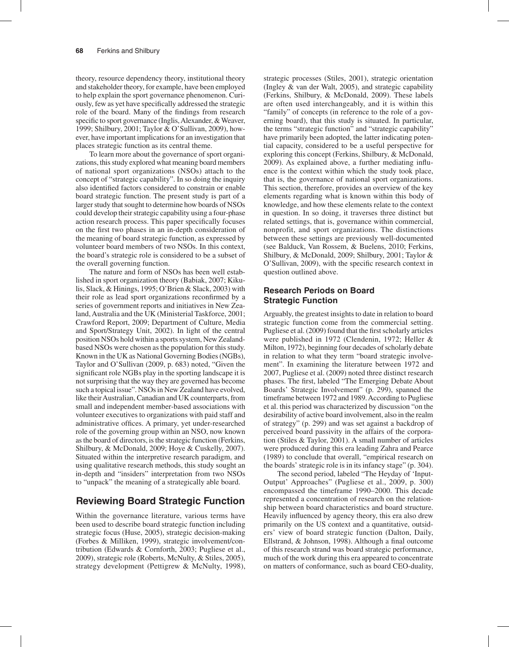theory, resource dependency theory, institutional theory and stakeholder theory, for example, have been employed to help explain the sport governance phenomenon. Curiously, few as yet have specifically addressed the strategic role of the board. Many of the findings from research specific to sport governance (Inglis, Alexander, & Weaver, 1999; Shilbury, 2001; Taylor & O'Sullivan, 2009), however, have important implications for an investigation that places strategic function as its central theme.

To learn more about the governance of sport organizations, this study explored what meaning board members of national sport organizations (NSOs) attach to the concept of "strategic capability". In so doing the inquiry also identified factors considered to constrain or enable board strategic function. The present study is part of a larger study that sought to determine how boards of NSOs could develop their strategic capability using a four-phase action research process. This paper specifically focuses on the first two phases in an in-depth consideration of the meaning of board strategic function, as expressed by volunteer board members of two NSOs. In this context, the board's strategic role is considered to be a subset of the overall governing function.

The nature and form of NSOs has been well established in sport organization theory (Babiak, 2007; Kikulis, Slack, & Hinings, 1995; O'Brien & Slack, 2003) with their role as lead sport organizations reconfirmed by a series of government reports and initiatives in New Zealand, Australia and the UK (Ministerial Taskforce, 2001; Crawford Report, 2009; Department of Culture, Media and Sport/Strategy Unit, 2002). In light of the central position NSOs hold within a sports system, New Zealandbased NSOs were chosen as the population for this study. Known in the UK as National Governing Bodies (NGBs), Taylor and O'Sullivan (2009, p. 683) noted, "Given the significant role NGBs play in the sporting landscape it is not surprising that the way they are governed has become such a topical issue". NSOs in New Zealand have evolved, like their Australian, Canadian and UK counterparts, from small and independent member-based associations with volunteer executives to organizations with paid staff and administrative offices. A primary, yet under-researched role of the governing group within an NSO, now known as the board of directors, is the strategic function (Ferkins, Shilbury, & McDonald, 2009; Hoye & Cuskelly, 2007). Situated within the interpretive research paradigm, and using qualitative research methods, this study sought an in-depth and "insiders" interpretation from two NSOs to "unpack" the meaning of a strategically able board.

# **Reviewing Board Strategic Function**

Within the governance literature, various terms have been used to describe board strategic function including strategic focus (Huse, 2005), strategic decision-making (Forbes & Milliken, 1999), strategic involvement/contribution (Edwards & Cornforth, 2003; Pugliese et al., 2009), strategic role (Roberts, McNulty, & Stiles, 2005), strategy development (Pettigrew & McNulty, 1998),

strategic processes (Stiles, 2001), strategic orientation (Ingley & van der Walt, 2005), and strategic capability (Ferkins, Shilbury, & McDonald, 2009). These labels are often used interchangeably, and it is within this "family" of concepts (in reference to the role of a governing board), that this study is situated. In particular, the terms "strategic function" and "strategic capability" have primarily been adopted, the latter indicating potential capacity, considered to be a useful perspective for exploring this concept (Ferkins, Shilbury, & McDonald, 2009). As explained above, a further mediating influence is the context within which the study took place, that is, the governance of national sport organizations. This section, therefore, provides an overview of the key elements regarding what is known within this body of knowledge, and how these elements relate to the context in question. In so doing, it traverses three distinct but related settings, that is, governance within commercial, nonprofit, and sport organizations. The distinctions between these settings are previously well-documented (see Balduck, Van Rossem, & Buelens, 2010; Ferkins, Shilbury, & McDonald, 2009; Shilbury, 2001; Taylor & O'Sullivan, 2009), with the specific research context in question outlined above.

#### **Research Periods on Board Strategic Function**

Arguably, the greatest insights to date in relation to board strategic function come from the commercial setting. Pugliese et al. (2009) found that the first scholarly articles were published in 1972 (Clendenin, 1972; Heller & Milton, 1972), beginning four decades of scholarly debate in relation to what they term "board strategic involvement". In examining the literature between 1972 and 2007, Pugliese et al. (2009) noted three distinct research phases. The first, labeled "The Emerging Debate About Boards' Strategic Involvement" (p. 299), spanned the timeframe between 1972 and 1989. According to Pugliese et al. this period was characterized by discussion "on the desirability of active board involvement, also in the realm of strategy" (p. 299) and was set against a backdrop of perceived board passivity in the affairs of the corporation (Stiles & Taylor, 2001). A small number of articles were produced during this era leading Zahra and Pearce (1989) to conclude that overall, "empirical research on the boards' strategic role is in its infancy stage" (p. 304).

The second period, labeled "The Heyday of 'Input-Output' Approaches" (Pugliese et al., 2009, p. 300) encompassed the timeframe 1990–2000. This decade represented a concentration of research on the relationship between board characteristics and board structure. Heavily influenced by agency theory, this era also drew primarily on the US context and a quantitative, outsiders' view of board strategic function (Dalton, Daily, Ellstrand, & Johnson, 1998). Although a final outcome of this research strand was board strategic performance, much of the work during this era appeared to concentrate on matters of conformance, such as board CEO-duality,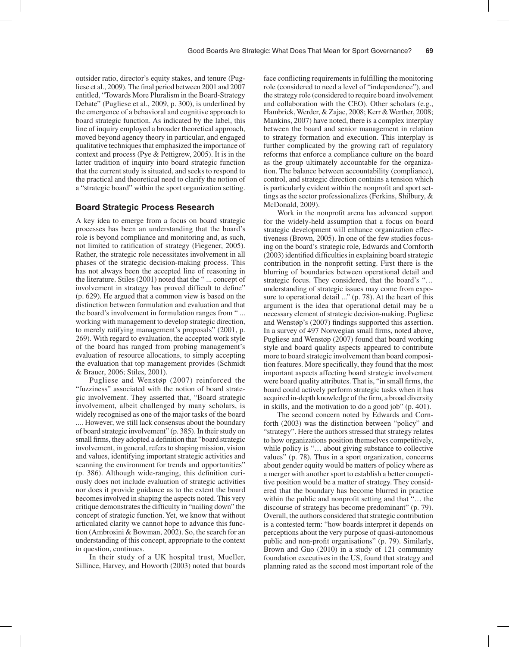outsider ratio, director's equity stakes, and tenure (Pugliese et al., 2009). The final period between 2001 and 2007 entitled, "Towards More Pluralism in the Board-Strategy Debate" (Pugliese et al., 2009, p. 300), is underlined by the emergence of a behavioral and cognitive approach to board strategic function. As indicated by the label, this line of inquiry employed a broader theoretical approach, moved beyond agency theory in particular, and engaged qualitative techniques that emphasized the importance of context and process (Pye & Pettigrew, 2005). It is in the latter tradition of inquiry into board strategic function that the current study is situated, and seeks to respond to the practical and theoretical need to clarify the notion of a "strategic board" within the sport organization setting.

#### **Board Strategic Process Research**

A key idea to emerge from a focus on board strategic processes has been an understanding that the board's role is beyond compliance and monitoring and, as such, not limited to ratification of strategy (Fiegener, 2005). Rather, the strategic role necessitates involvement in all phases of the strategic decision-making process. This has not always been the accepted line of reasoning in the literature. Stiles (2001) noted that the " ... concept of involvement in strategy has proved difficult to define" (p. 629). He argued that a common view is based on the distinction between formulation and evaluation and that the board's involvement in formulation ranges from " ... working with management to develop strategic direction, to merely ratifying management's proposals" (2001, p. 269). With regard to evaluation, the accepted work style of the board has ranged from probing management's evaluation of resource allocations, to simply accepting the evaluation that top management provides (Schmidt & Brauer, 2006; Stiles, 2001).

Pugliese and Wenstøp (2007) reinforced the "fuzziness" associated with the notion of board strategic involvement. They asserted that, "Board strategic involvement, albeit challenged by many scholars, is widely recognised as one of the major tasks of the board .... However, we still lack consensus about the boundary of board strategic involvement" (p. 385). In their study on small firms, they adopted a definition that "board strategic involvement, in general, refers to shaping mission, vision and values, identifying important strategic activities and scanning the environment for trends and opportunities" (p. 386). Although wide-ranging, this definition curiously does not include evaluation of strategic activities nor does it provide guidance as to the extent the board becomes involved in shaping the aspects noted. This very critique demonstrates the difficulty in "nailing down" the concept of strategic function. Yet, we know that without articulated clarity we cannot hope to advance this function (Ambrosini & Bowman, 2002). So, the search for an understanding of this concept, appropriate to the context in question, continues.

In their study of a UK hospital trust, Mueller, Sillince, Harvey, and Howorth (2003) noted that boards face conflicting requirements in fulfilling the monitoring role (considered to need a level of "independence"), and the strategy role (considered to require board involvement and collaboration with the CEO). Other scholars (e.g., Hambrick, Werder, & Zajac, 2008; Kerr & Werther, 2008; Mankins, 2007) have noted, there is a complex interplay between the board and senior management in relation to strategy formation and execution. This interplay is further complicated by the growing raft of regulatory reforms that enforce a compliance culture on the board as the group ultimately accountable for the organization. The balance between accountability (compliance), control, and strategic direction contains a tension which is particularly evident within the nonprofit and sport settings as the sector professionalizes (Ferkins, Shilbury, & McDonald, 2009).

Work in the nonprofit arena has advanced support for the widely-held assumption that a focus on board strategic development will enhance organization effectiveness (Brown, 2005). In one of the few studies focusing on the board's strategic role, Edwards and Cornforth (2003) identified difficulties in explaining board strategic contribution in the nonprofit setting. First there is the blurring of boundaries between operational detail and strategic focus. They considered, that the board's "… understanding of strategic issues may come from exposure to operational detail ..." (p. 78). At the heart of this argument is the idea that operational detail may be a necessary element of strategic decision-making. Pugliese and Wenstøp's (2007) findings supported this assertion. In a survey of 497 Norwegian small firms, noted above, Pugliese and Wenstøp (2007) found that board working style and board quality aspects appeared to contribute more to board strategic involvement than board composition features. More specifically, they found that the most important aspects affecting board strategic involvement were board quality attributes. That is, "in small firms, the board could actively perform strategic tasks when it has acquired in-depth knowledge of the firm, a broad diversity in skills, and the motivation to do a good job" (p. 401).

The second concern noted by Edwards and Cornforth (2003) was the distinction between "policy" and "strategy". Here the authors stressed that strategy relates to how organizations position themselves competitively, while policy is "… about giving substance to collective values" (p. 78). Thus in a sport organization, concerns about gender equity would be matters of policy where as a merger with another sport to establish a better competitive position would be a matter of strategy. They considered that the boundary has become blurred in practice within the public and nonprofit setting and that "… the discourse of strategy has become predominant" (p. 79). Overall, the authors considered that strategic contribution is a contested term: "how boards interpret it depends on perceptions about the very purpose of quasi-autonomous public and non-profit organisations" (p. 79). Similarly, Brown and Guo (2010) in a study of 121 community foundation executives in the US, found that strategy and planning rated as the second most important role of the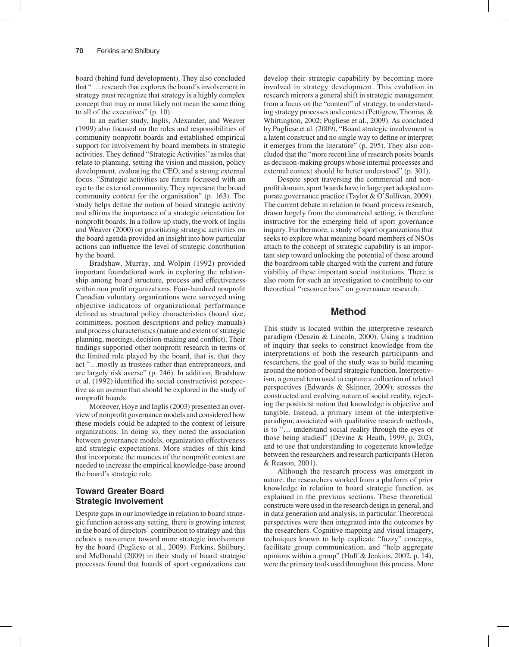board (behind fund development). They also concluded that " … research that explores the board's involvement in strategy must recognize that strategy is a highly complex concept that may or most likely not mean the same thing to all of the executives" (p. 10).

In an earlier study, Inglis, Alexander, and Weaver (1999) also focused on the roles and responsibilities of community nonprofit boards and established empirical support for involvement by board members in strategic activities. They defined "Strategic Activities" as roles that relate to planning, setting the vision and mission, policy development, evaluating the CEO, and a strong external focus. "Strategic activities are future focussed with an eye to the external community. They represent the broad community context for the organisation" (p. 163). The study helps define the notion of board strategic activity and affirms the importance of a strategic orientation for nonprofit boards. In a follow up study, the work of Inglis and Weaver (2000) on prioritizing strategic activities on the board agenda provided an insight into how particular actions can influence the level of strategic contribution by the board.

Bradshaw, Murray, and Wolpin (1992) provided important foundational work in exploring the relationship among board structure, process and effectiveness within non profit organizations. Four-hundred nonprofit Canadian voluntary organizations were surveyed using objective indicators of organizational performance defined as structural policy characteristics (board size, committees, position descriptions and policy manuals) and process characteristics (nature and extent of strategic planning, meetings, decision-making and conflict). Their findings supported other nonprofit research in terms of the limited role played by the board, that is, that they act "…mostly as trustees rather than entrepreneurs, and are largely risk averse" (p. 246). In addition, Bradshaw et al. (1992) identified the social constructivist perspective as an avenue that should be explored in the study of nonprofit boards.

Moreover, Hoye and Inglis (2003) presented an overview of nonprofit governance models and considered how these models could be adapted to the context of leisure organizations. In doing so, they noted the association between governance models, organization effectiveness and strategic expectations. More studies of this kind that incorporate the nuances of the nonprofit context are needed to increase the empirical knowledge-base around the board's strategic role.

#### **Toward Greater Board Strategic Involvement**

Despite gaps in our knowledge in relation to board strategic function across any setting, there is growing interest in the board of directors' contribution to strategy and this echoes a movement toward more strategic involvement by the board (Pugliese et al., 2009). Ferkins, Shilbury, and McDonald (2009) in their study of board strategic processes found that boards of sport organizations can

develop their strategic capability by becoming more involved in strategy development. This evolution in research mirrors a general shift in strategic management from a focus on the "content" of strategy, to understanding strategy processes and context (Pettigrew, Thomas, & Whittington, 2002; Pugliese et al., 2009). As concluded by Pugliese et al. (2009), "Board strategic involvement is a latent construct and no single way to define or interpret it emerges from the literature" (p. 295). They also concluded that the "more recent line of research posits boards as decision-making groups whose internal processes and external context should be better understood" (p. 301).

Despite sport traversing the commercial and nonprofit domain, sport boards have in large part adopted corporate governance practice (Taylor & O'Sullivan, 2009). The current debate in relation to board process research, drawn largely from the commercial setting, is therefore instructive for the emerging field of sport governance inquiry. Furthermore, a study of sport organizations that seeks to explore what meaning board members of NSOs attach to the concept of strategic capability is an important step toward unlocking the potential of those around the boardroom table charged with the current and future viability of these important social institutions. There is also room for such an investigation to contribute to our theoretical "resource box" on governance research.

#### **Method**

This study is located within the interpretive research paradigm (Denzin & Lincoln, 2000). Using a tradition of inquiry that seeks to construct knowledge from the interpretations of both the research participants and researchers, the goal of the study was to build meaning around the notion of board strategic function. Interpretivism, a general term used to capture a collection of related perspectives (Edwards & Skinner, 2009), stresses the constructed and evolving nature of social reality, rejecting the positivist notion that knowledge is objective and tangible. Instead, a primary intent of the interpretive paradigm, associated with qualitative research methods, is to "… understand social reality through the eyes of those being studied" (Devine & Heath, 1999, p. 202), and to use that understanding to cogenerate knowledge between the researchers and research participants (Heron & Reason, 2001).

Although the research process was emergent in nature, the researchers worked from a platform of prior knowledge in relation to board strategic function, as explained in the previous sections. These theoretical constructs were used in the research design in general, and in data generation and analysis, in particular. Theoretical perspectives were then integrated into the outcomes by the researchers. Cognitive mapping and visual imagery, techniques known to help explicate "fuzzy" concepts, facilitate group communication, and "help aggregate opinions within a group" (Huff & Jenkins, 2002, p. 14), were the primary tools used throughout this process. More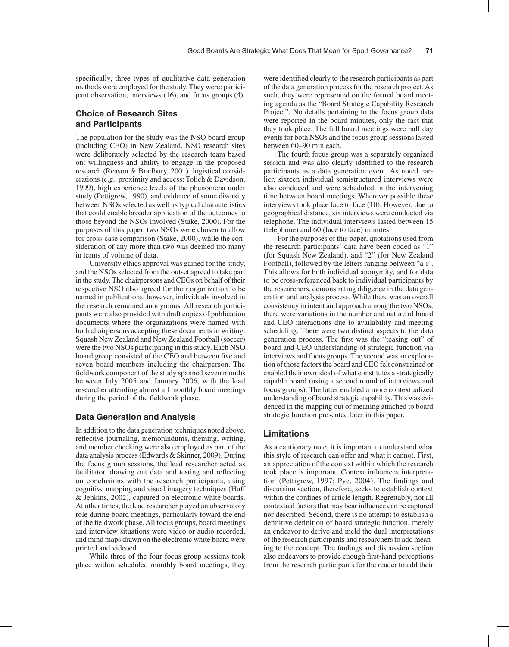specifically, three types of qualitative data generation methods were employed for the study. They were: participant observation, interviews (16), and focus groups (4).

#### **Choice of Research Sites and Participants**

The population for the study was the NSO board group (including CEO) in New Zealand. NSO research sites were deliberately selected by the research team based on: willingness and ability to engage in the proposed research (Reason & Bradbury, 2001), logistical considerations (e.g., proximity and access; Tolich & Davidson, 1999), high experience levels of the phenomena under study (Pettigrew, 1990), and evidence of some diversity between NSOs selected as well as typical characteristics that could enable broader application of the outcomes to those beyond the NSOs involved (Stake, 2000). For the purposes of this paper, two NSOs were chosen to allow for cross-case comparison (Stake, 2000), while the consideration of any more than two was deemed too many in terms of volume of data.

University ethics approval was gained for the study, and the NSOs selected from the outset agreed to take part in the study. The chairpersons and CEOs on behalf of their respective NSO also agreed for their organization to be named in publications, however, individuals involved in the research remained anonymous. All research participants were also provided with draft copies of publication documents where the organizations were named with both chairpersons accepting these documents in writing. Squash New Zealand and New Zealand Football (soccer) were the two NSOs participating in this study. Each NSO board group consisted of the CEO and between five and seven board members including the chairperson. The fieldwork component of the study spanned seven months between July 2005 and January 2006, with the lead researcher attending almost all monthly board meetings during the period of the fieldwork phase.

#### **Data Generation and Analysis**

In addition to the data generation techniques noted above, reflective journaling, memorandums, theming, writing, and member checking were also employed as part of the data analysis process (Edwards & Skinner, 2009). During the focus group sessions, the lead researcher acted as facilitator, drawing out data and testing and reflecting on conclusions with the research participants, using cognitive mapping and visual imagery techniques (Huff & Jenkins, 2002), captured on electronic white boards. At other times, the lead researcher played an observatory role during board meetings, particularly toward the end of the fieldwork phase. All focus groups, board meetings and interview situations were video or audio recorded, and mind maps drawn on the electronic white board were printed and videoed.

While three of the four focus group sessions took place within scheduled monthly board meetings, they

were identified clearly to the research participants as part of the data generation process for the research project. As such, they were represented on the formal board meeting agenda as the "Board Strategic Capability Research Project". No details pertaining to the focus group data were reported in the board minutes, only the fact that they took place. The full board meetings were half day events for both NSOs and the focus group sessions lasted between 60–90 min each.

The fourth focus group was a separately organized session and was also clearly identified to the research participants as a data generation event. As noted earlier, sixteen individual semistructured interviews were also conduced and were scheduled in the intervening time between board meetings. Wherever possible these interviews took place face to face (10). However, due to geographical distance, six interviews were conducted via telephone. The individual interviews lasted between 15 (telephone) and 60 (face to face) minutes.

For the purposes of this paper, quotations used from the research participants' data have been coded as "1" (for Squash New Zealand), and "2" (for New Zealand Football), followed by the letters ranging between "a-i". This allows for both individual anonymity, and for data to be cross-referenced back to individual participants by the researchers, demonstrating diligence in the data generation and analysis process. While there was an overall consistency in intent and approach among the two NSOs, there were variations in the number and nature of board and CEO interactions due to availability and meeting scheduling. There were two distinct aspects to the data generation process. The first was the "teasing out" of board and CEO understanding of strategic function via interviews and focus groups. The second was an exploration of those factors the board and CEO felt constrained or enabled their own ideal of what constitutes a strategically capable board (using a second round of interviews and focus groups). The latter enabled a more contextualized understanding of board strategic capability. This was evidenced in the mapping out of meaning attached to board strategic function presented later in this paper.

#### **Limitations**

As a cautionary note, it is important to understand what this style of research can offer and what it cannot. First, an appreciation of the context within which the research took place is important. Context influences interpretation (Pettigrew, 1997; Pye, 2004). The findings and discussion section, therefore, seeks to establish context within the confines of article length. Regrettably, not all contextual factors that may bear influence can be captured nor described. Second, there is no attempt to establish a definitive definition of board strategic function, merely an endeavor to derive and meld the dual interpretations of the research participants and researchers to add meaning to the concept. The findings and discussion section also endeavors to provide enough first-hand perceptions from the research participants for the reader to add their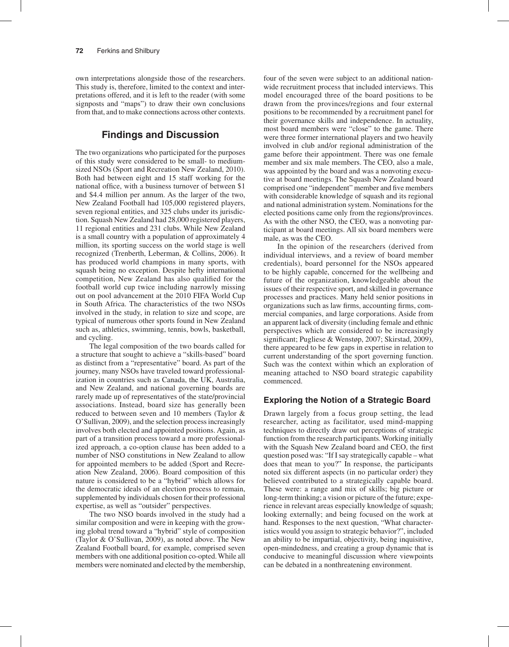own interpretations alongside those of the researchers. This study is, therefore, limited to the context and interpretations offered, and it is left to the reader (with some signposts and "maps") to draw their own conclusions from that, and to make connections across other contexts.

### **Findings and Discussion**

The two organizations who participated for the purposes of this study were considered to be small- to mediumsized NSOs (Sport and Recreation New Zealand, 2010). Both had between eight and 15 staff working for the national office, with a business turnover of between \$1 and \$4.4 million per annum. As the larger of the two, New Zealand Football had 105,000 registered players, seven regional entities, and 325 clubs under its jurisdiction. Squash New Zealand had 28,000 registered players, 11 regional entities and 231 clubs. While New Zealand is a small country with a population of approximately 4 million, its sporting success on the world stage is well recognized (Trenberth, Leberman, & Collins, 2006). It has produced world champions in many sports, with squash being no exception. Despite hefty international competition, New Zealand has also qualified for the football world cup twice including narrowly missing out on pool advancement at the 2010 FIFA World Cup in South Africa. The characteristics of the two NSOs involved in the study, in relation to size and scope, are typical of numerous other sports found in New Zealand such as, athletics, swimming, tennis, bowls, basketball, and cycling.

The legal composition of the two boards called for a structure that sought to achieve a "skills-based" board as distinct from a "representative" board. As part of the journey, many NSOs have traveled toward professionalization in countries such as Canada, the UK, Australia, and New Zealand, and national governing boards are rarely made up of representatives of the state/provincial associations. Instead, board size has generally been reduced to between seven and 10 members (Taylor & O'Sullivan, 2009), and the selection process increasingly involves both elected and appointed positions. Again, as part of a transition process toward a more professionalized approach, a co-option clause has been added to a number of NSO constitutions in New Zealand to allow for appointed members to be added (Sport and Recreation New Zealand, 2006). Board composition of this nature is considered to be a "hybrid" which allows for the democratic ideals of an election process to remain, supplemented by individuals chosen for their professional expertise, as well as "outsider" perspectives.

The two NSO boards involved in the study had a similar composition and were in keeping with the growing global trend toward a "hybrid" style of composition (Taylor & O'Sullivan, 2009), as noted above. The New Zealand Football board, for example, comprised seven members with one additional position co-opted. While all members were nominated and elected by the membership, four of the seven were subject to an additional nationwide recruitment process that included interviews. This model encouraged three of the board positions to be drawn from the provinces/regions and four external positions to be recommended by a recruitment panel for their governance skills and independence. In actuality, most board members were "close" to the game. There were three former international players and two heavily involved in club and/or regional administration of the game before their appointment. There was one female member and six male members. The CEO, also a male, was appointed by the board and was a nonvoting executive at board meetings. The Squash New Zealand board comprised one "independent" member and five members with considerable knowledge of squash and its regional and national administration system. Nominations for the elected positions came only from the regions/provinces. As with the other NSO, the CEO, was a nonvoting participant at board meetings. All six board members were male, as was the CEO.

In the opinion of the researchers (derived from individual interviews, and a review of board member credentials), board personnel for the NSOs appeared to be highly capable, concerned for the wellbeing and future of the organization, knowledgeable about the issues of their respective sport, and skilled in governance processes and practices. Many held senior positions in organizations such as law firms, accounting firms, commercial companies, and large corporations. Aside from an apparent lack of diversity (including female and ethnic perspectives which are considered to be increasingly significant; Pugliese & Wenstøp, 2007; Skirstad, 2009), there appeared to be few gaps in expertise in relation to current understanding of the sport governing function. Such was the context within which an exploration of meaning attached to NSO board strategic capability commenced.

#### **Exploring the Notion of a Strategic Board**

Drawn largely from a focus group setting, the lead researcher, acting as facilitator, used mind-mapping techniques to directly draw out perceptions of strategic function from the research participants. Working initially with the Squash New Zealand board and CEO, the first question posed was: "If I say strategically capable – what does that mean to you?" In response, the participants noted six different aspects (in no particular order) they believed contributed to a strategically capable board. These were: a range and mix of skills; big picture or long-term thinking; a vision or picture of the future; experience in relevant areas especially knowledge of squash; looking externally; and being focused on the work at hand. Responses to the next question, "What characteristics would you assign to strategic behavior?", included an ability to be impartial, objectivity, being inquisitive, open-mindedness, and creating a group dynamic that is conducive to meaningful discussion where viewpoints can be debated in a nonthreatening environment.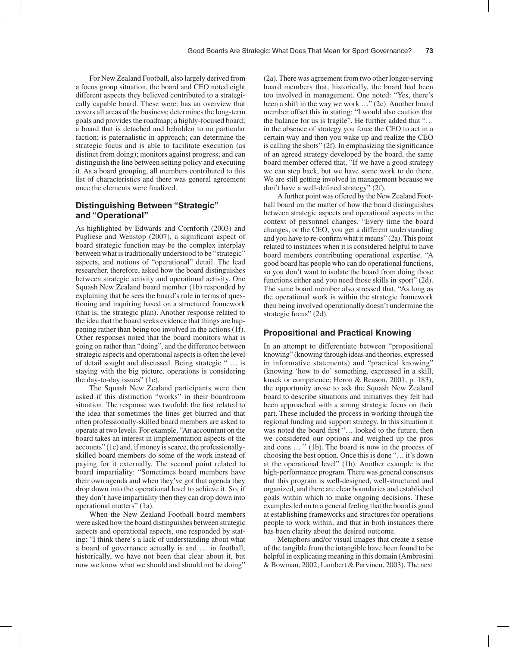For New Zealand Football, also largely derived from a focus group situation, the board and CEO noted eight different aspects they believed contributed to a strategically capable board. These were: has an overview that covers all areas of the business; determines the long-term goals and provides the roadmap; a highly-focused board; a board that is detached and beholden to no particular faction; is paternalistic in approach; can determine the strategic focus and is able to facilitate execution (as distinct from doing); monitors against progress; and can distinguish the line between setting policy and executing it. As a board grouping, all members contributed to this list of characteristics and there was general agreement once the elements were finalized.

#### **Distinguishing Between "Strategic" and "Operational"**

As highlighted by Edwards and Cornforth (2003) and Pugliese and Wenstøp (2007), a significant aspect of board strategic function may be the complex interplay between what is traditionally understood to be "strategic" aspects, and notions of "operational" detail. The lead researcher, therefore, asked how the board distinguishes between strategic activity and operational activity. One Squash New Zealand board member (1b) responded by explaining that he sees the board's role in terms of questioning and inquiring based on a structured framework (that is, the strategic plan). Another response related to the idea that the board seeks evidence that things are happening rather than being too involved in the actions (1f). Other responses noted that the board monitors what is going on rather than "doing", and the difference between strategic aspects and operational aspects is often the level of detail sought and discussed. Being strategic " … is staying with the big picture, operations is considering the day-to-day issues" (1c).

The Squash New Zealand participants were then asked if this distinction "works" in their boardroom situation. The response was twofold: the first related to the idea that sometimes the lines get blurred and that often professionally-skilled board members are asked to operate at two levels. For example, "An accountant on the board takes an interest in implementation aspects of the accounts" (1c) and, if money is scarce, the professionallyskilled board members do some of the work instead of paying for it externally. The second point related to board impartiality: "Sometimes board members have their own agenda and when they've got that agenda they drop down into the operational level to achieve it. So, if they don't have impartiality then they can drop down into operational matters" (1a).

When the New Zealand Football board members were asked how the board distinguishes between strategic aspects and operational aspects, one responded by stating: "I think there's a lack of understanding about what a board of governance actually is and … in football, historically, we have not been that clear about it, but now we know what we should and should not be doing"

(2a). There was agreement from two other longer-serving board members that, historically, the board had been too involved in management. One noted: "Yes, there's been a shift in the way we work …" (2c). Another board member offset this in stating: "I would also caution that the balance for us is fragile". He further added that "… in the absence of strategy you force the CEO to act in a certain way and then you wake up and realize the CEO is calling the shots" (2f). In emphasizing the significance of an agreed strategy developed by the board, the same board member offered that, "If we have a good strategy we can step back, but we have some work to do there. We are still getting involved in management because we don't have a well-defined strategy" (2f).

A further point was offered by the New Zealand Football board on the matter of how the board distinguishes between strategic aspects and operational aspects in the context of personnel changes. "Every time the board changes, or the CEO, you get a different understanding and you have to re-confirm what it means" (2a). This point related to instances when it is considered helpful to have board members contributing operational expertise. "A good board has people who can do operational functions, so you don't want to isolate the board from doing those functions either and you need those skills in sport" (2d). The same board member also stressed that, "As long as the operational work is within the strategic framework then being involved operationally doesn't undermine the strategic focus" (2d).

#### **Propositional and Practical Knowing**

In an attempt to differentiate between "propositional knowing" (knowing through ideas and theories, expressed in informative statements) and "practical knowing" (knowing 'how to do' something, expressed in a skill, knack or competence; Heron & Reason, 2001, p. 183), the opportunity arose to ask the Squash New Zealand board to describe situations and initiatives they felt had been approached with a strong strategic focus on their part. These included the process in working through the regional funding and support strategy. In this situation it was noted the board first "… looked to the future, then we considered our options and weighed up the pros and cons … " (1b). The board is now in the process of choosing the best option. Once this is done "… it's down at the operational level" (1b). Another example is the high-performance program. There was general consensus that this program is well-designed, well-structured and organized, and there are clear boundaries and established goals within which to make ongoing decisions. These examples led on to a general feeling that the board is good at establishing frameworks and structures for operations people to work within, and that in both instances there has been clarity about the desired outcome.

Metaphors and/or visual images that create a sense of the tangible from the intangible have been found to be helpful in explicating meaning in this domain (Ambrosini & Bowman, 2002; Lambert & Parvinen, 2003). The next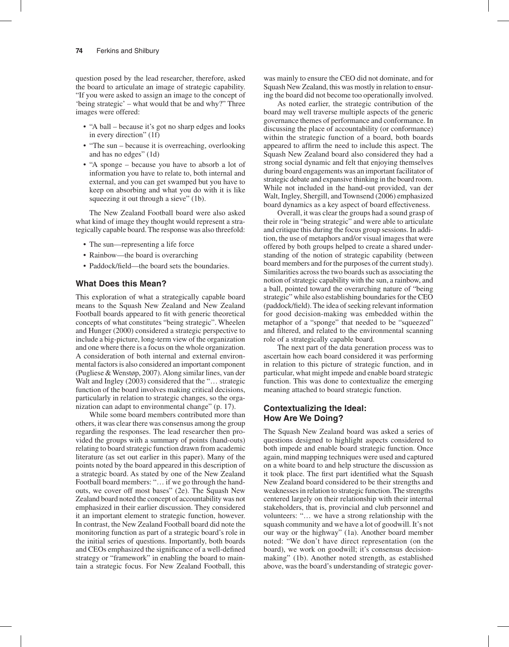question posed by the lead researcher, therefore, asked the board to articulate an image of strategic capability. "If you were asked to assign an image to the concept of 'being strategic' – what would that be and why?" Three images were offered:

- "A ball because it's got no sharp edges and looks in every direction" (1f)
- "The sun because it is overreaching, overlooking and has no edges" (1d)
- "A sponge because you have to absorb a lot of information you have to relate to, both internal and external, and you can get swamped but you have to keep on absorbing and what you do with it is like squeezing it out through a sieve" (1b).

The New Zealand Football board were also asked what kind of image they thought would represent a strategically capable board. The response was also threefold:

- The sun—representing a life force
- Rainbow—the board is overarching
- Paddock/field—the board sets the boundaries.

#### **What Does this Mean?**

This exploration of what a strategically capable board means to the Squash New Zealand and New Zealand Football boards appeared to fit with generic theoretical concepts of what constitutes "being strategic". Wheelen and Hunger (2000) considered a strategic perspective to include a big-picture, long-term view of the organization and one where there is a focus on the whole organization. A consideration of both internal and external environmental factors is also considered an important component (Pugliese & Wenstøp, 2007). Along similar lines, van der Walt and Ingley (2003) considered that the "... strategic function of the board involves making critical decisions, particularly in relation to strategic changes, so the organization can adapt to environmental change" (p. 17).

While some board members contributed more than others, it was clear there was consensus among the group regarding the responses. The lead researcher then provided the groups with a summary of points (hand-outs) relating to board strategic function drawn from academic literature (as set out earlier in this paper). Many of the points noted by the board appeared in this description of a strategic board. As stated by one of the New Zealand Football board members: "… if we go through the handouts, we cover off most bases" (2e). The Squash New Zealand board noted the concept of accountability was not emphasized in their earlier discussion. They considered it an important element to strategic function, however. In contrast, the New Zealand Football board did note the monitoring function as part of a strategic board's role in the initial series of questions. Importantly, both boards and CEOs emphasized the significance of a well-defined strategy or "framework" in enabling the board to maintain a strategic focus. For New Zealand Football, this was mainly to ensure the CEO did not dominate, and for Squash New Zealand, this was mostly in relation to ensuring the board did not become too operationally involved.

As noted earlier, the strategic contribution of the board may well traverse multiple aspects of the generic governance themes of performance and conformance. In discussing the place of accountability (or conformance) within the strategic function of a board, both boards appeared to affirm the need to include this aspect. The Squash New Zealand board also considered they had a strong social dynamic and felt that enjoying themselves during board engagements was an important facilitator of strategic debate and expansive thinking in the board room. While not included in the hand-out provided, van der Walt, Ingley, Shergill, and Townsend (2006) emphasized board dynamics as a key aspect of board effectiveness.

Overall, it was clear the groups had a sound grasp of their role in "being strategic" and were able to articulate and critique this during the focus group sessions. In addition, the use of metaphors and/or visual images that were offered by both groups helped to create a shared understanding of the notion of strategic capability (between board members and for the purposes of the current study). Similarities across the two boards such as associating the notion of strategic capability with the sun, a rainbow, and a ball, pointed toward the overarching nature of "being strategic" while also establishing boundaries for the CEO (paddock/field). The idea of seeking relevant information for good decision-making was embedded within the metaphor of a "sponge" that needed to be "squeezed" and filtered, and related to the environmental scanning role of a strategically capable board.

The next part of the data generation process was to ascertain how each board considered it was performing in relation to this picture of strategic function, and in particular, what might impede and enable board strategic function. This was done to contextualize the emerging meaning attached to board strategic function.

#### **Contextualizing the Ideal: How Are We Doing?**

The Squash New Zealand board was asked a series of questions designed to highlight aspects considered to both impede and enable board strategic function. Once again, mind mapping techniques were used and captured on a white board to and help structure the discussion as it took place. The first part identified what the Squash New Zealand board considered to be their strengths and weaknesses in relation to strategic function. The strengths centered largely on their relationship with their internal stakeholders, that is, provincial and club personnel and volunteers: "… we have a strong relationship with the squash community and we have a lot of goodwill. It's not our way or the highway" (1a). Another board member noted: "We don't have direct representation (on the board), we work on goodwill; it's consensus decisionmaking" (1b). Another noted strength, as established above, was the board's understanding of strategic gover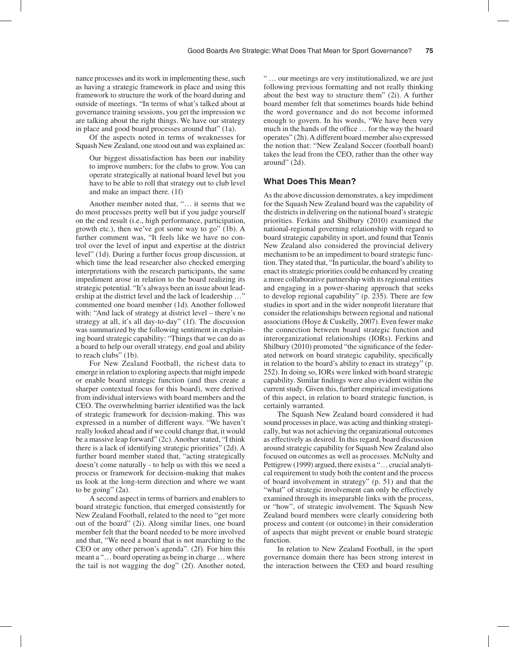nance processes and its work in implementing these, such as having a strategic framework in place and using this framework to structure the work of the board during and outside of meetings. "In terms of what's talked about at governance training sessions, you get the impression we are talking about the right things. We have our strategy in place and good board processes around that" (1a).

Of the aspects noted in terms of weaknesses for Squash New Zealand, one stood out and was explained as:

Our biggest dissatisfaction has been our inability to improve numbers; for the clubs to grow. You can operate strategically at national board level but you have to be able to roll that strategy out to club level and make an impact there. (1f)

Another member noted that, "… it seems that we do most processes pretty well but if you judge yourself on the end result (i.e., high performance, participation, growth etc.), then we've got some way to go" (1b). A further comment was, "It feels like we have no control over the level of input and expertise at the district level" (1d). During a further focus group discussion, at which time the lead researcher also checked emerging interpretations with the research participants, the same impediment arose in relation to the board realizing its strategic potential. "It's always been an issue about leadership at the district level and the lack of leadership …" commented one board member (1d). Another followed with: "And lack of strategy at district level – there's no strategy at all, it's all day-to-day" (1f). The discussion was summarized by the following sentiment in explaining board strategic capability: "Things that we can do as a board to help our overall strategy, end goal and ability to reach clubs" (1b).

For New Zealand Football, the richest data to emerge in relation to exploring aspects that might impede or enable board strategic function (and thus create a sharper contextual focus for this board), were derived from individual interviews with board members and the CEO. The overwhelming barrier identified was the lack of strategic framework for decision-making. This was expressed in a number of different ways. "We haven't really looked ahead and if we could change that, it would be a massive leap forward" (2c). Another stated, "I think there is a lack of identifying strategic priorities" (2d). A further board member stated that, "acting strategically doesn't come naturally - to help us with this we need a process or framework for decision-making that makes us look at the long-term direction and where we want to be going" (2a).

A second aspect in terms of barriers and enablers to board strategic function, that emerged consistently for New Zealand Football, related to the need to "get more out of the board" (2i). Along similar lines, one board member felt that the board needed to be more involved and that, "We need a board that is not marching to the CEO or any other person's agenda". (2f). For him this meant a "… board operating as being in charge … where the tail is not wagging the dog" (2f). Another noted,

" … our meetings are very institutionalized, we are just following previous formatting and not really thinking about the best way to structure them" (2i). A further board member felt that sometimes boards hide behind the word governance and do not become informed enough to govern. In his words, "We have been very much in the hands of the office … for the way the board operates" (2h). A different board member also expressed the notion that: "New Zealand Soccer (football board) takes the lead from the CEO, rather than the other way around" (2d).

#### **What Does This Mean?**

As the above discussion demonstrates, a key impediment for the Squash New Zealand board was the capability of the districts in delivering on the national board's strategic priorities. Ferkins and Shilbury (2010) examined the national-regional governing relationship with regard to board strategic capability in sport, and found that Tennis New Zealand also considered the provincial delivery mechanism to be an impediment to board strategic function. They stated that, "In particular, the board's ability to enact its strategic priorities could be enhanced by creating a more collaborative partnership with its regional entities and engaging in a power-sharing approach that seeks to develop regional capability" (p. 235). There are few studies in sport and in the wider nonprofit literature that consider the relationships between regional and national associations (Hoye & Cuskelly, 2007). Even fewer make the connection between board strategic function and interorganizational relationships (IORs). Ferkins and Shilbury (2010) promoted "the significance of the federated network on board strategic capability, specifically in relation to the board's ability to enact its strategy" (p. 252). In doing so, IORs were linked with board strategic capability. Similar findings were also evident within the current study. Given this, further empirical investigations of this aspect, in relation to board strategic function, is certainly warranted.

The Squash New Zealand board considered it had sound processes in place, was acting and thinking strategically, but was not achieving the organizational outcomes as effectively as desired. In this regard, board discussion around strategic capability for Squash New Zealand also focused on outcomes as well as processes. McNulty and Pettigrew (1999) argued, there exists a "… crucial analytical requirement to study both the content and the process of board involvement in strategy" (p. 51) and that the "what" of strategic involvement can only be effectively examined through its inseparable links with the process, or "how", of strategic involvement. The Squash New Zealand board members were clearly considering both process and content (or outcome) in their consideration of aspects that might prevent or enable board strategic function.

In relation to New Zealand Football, in the sport governance domain there has been strong interest in the interaction between the CEO and board resulting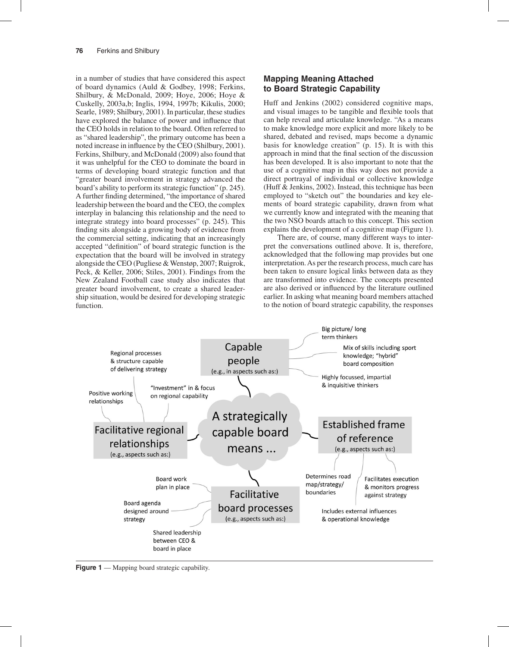in a number of studies that have considered this aspect of board dynamics (Auld & Godbey, 1998; Ferkins, Shilbury, & McDonald, 2009; Hoye, 2006; Hoye & Cuskelly, 2003a,b; Inglis, 1994, 1997b; Kikulis, 2000; Searle, 1989; Shilbury, 2001). In particular, these studies have explored the balance of power and influence that the CEO holds in relation to the board. Often referred to as "shared leadership", the primary outcome has been a noted increase in influence by the CEO (Shilbury, 2001). Ferkins, Shilbury, and McDonald (2009) also found that it was unhelpful for the CEO to dominate the board in terms of developing board strategic function and that "greater board involvement in strategy advanced the board's ability to perform its strategic function" (p. 245). A further finding determined, "the importance of shared leadership between the board and the CEO, the complex interplay in balancing this relationship and the need to integrate strategy into board processes" (p. 245). This finding sits alongside a growing body of evidence from the commercial setting, indicating that an increasingly accepted "definition" of board strategic function is the expectation that the board will be involved in strategy alongside the CEO (Pugliese & Wenstøp, 2007; Ruigrok, Peck, & Keller, 2006; Stiles, 2001). Findings from the New Zealand Football case study also indicates that greater board involvement, to create a shared leadership situation, would be desired for developing strategic function.

#### **Mapping Meaning Attached to Board Strategic Capability**

Huff and Jenkins (2002) considered cognitive maps, and visual images to be tangible and flexible tools that can help reveal and articulate knowledge. "As a means to make knowledge more explicit and more likely to be shared, debated and revised, maps become a dynamic basis for knowledge creation" (p. 15). It is with this approach in mind that the final section of the discussion has been developed. It is also important to note that the use of a cognitive map in this way does not provide a direct portrayal of individual or collective knowledge (Huff & Jenkins, 2002). Instead, this technique has been employed to "sketch out" the boundaries and key elements of board strategic capability, drawn from what we currently know and integrated with the meaning that the two NSO boards attach to this concept. This section explains the development of a cognitive map (Figure 1).

There are, of course, many different ways to interpret the conversations outlined above. It is, therefore, acknowledged that the following map provides but one interpretation. As per the research process, much care has been taken to ensure logical links between data as they are transformed into evidence. The concepts presented are also derived or influenced by the literature outlined earlier. In asking what meaning board members attached to the notion of board strategic capability, the responses



**Figure 1** — Mapping board strategic capability.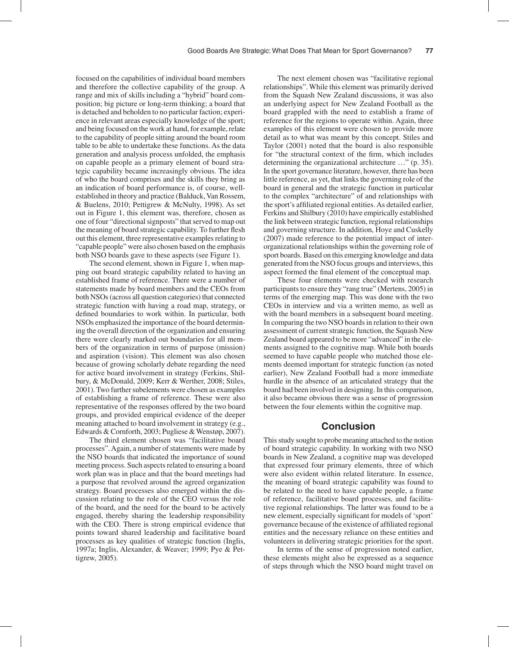focused on the capabilities of individual board members and therefore the collective capability of the group. A range and mix of skills including a "hybrid" board composition; big picture or long-term thinking; a board that is detached and beholden to no particular faction; experience in relevant areas especially knowledge of the sport; and being focused on the work at hand, for example, relate to the capability of people sitting around the board room table to be able to undertake these functions. As the data generation and analysis process unfolded, the emphasis on capable people as a primary element of board strategic capability became increasingly obvious. The idea of who the board comprises and the skills they bring as an indication of board performance is, of course, wellestablished in theory and practice (Balduck, Van Rossem, & Buelens, 2010; Pettigrew & McNulty, 1998). As set out in Figure 1, this element was, therefore, chosen as one of four "directional signposts" that served to map out the meaning of board strategic capability. To further flesh out this element, three representative examples relating to "capable people" were also chosen based on the emphasis both NSO boards gave to these aspects (see Figure 1).

The second element, shown in Figure 1, when mapping out board strategic capability related to having an established frame of reference. There were a number of statements made by board members and the CEOs from both NSOs (across all question categories) that connected strategic function with having a road map, strategy, or defined boundaries to work within. In particular, both NSOs emphasized the importance of the board determining the overall direction of the organization and ensuring there were clearly marked out boundaries for all members of the organization in terms of purpose (mission) and aspiration (vision). This element was also chosen because of growing scholarly debate regarding the need for active board involvement in strategy (Ferkins, Shilbury, & McDonald, 2009; Kerr & Werther, 2008; Stiles, 2001). Two further subelements were chosen as examples of establishing a frame of reference. These were also representative of the responses offered by the two board groups, and provided empirical evidence of the deeper meaning attached to board involvement in strategy (e.g., Edwards & Cornforth, 2003; Pugliese & Wenstøp, 2007).

The third element chosen was "facilitative board processes". Again, a number of statements were made by the NSO boards that indicated the importance of sound meeting process. Such aspects related to ensuring a board work plan was in place and that the board meetings had a purpose that revolved around the agreed organization strategy. Board processes also emerged within the discussion relating to the role of the CEO versus the role of the board, and the need for the board to be actively engaged, thereby sharing the leadership responsibility with the CEO. There is strong empirical evidence that points toward shared leadership and facilitative board processes as key qualities of strategic function (Inglis, 1997a; Inglis, Alexander, & Weaver; 1999; Pye & Pettigrew, 2005).

The next element chosen was "facilitative regional relationships". While this element was primarily derived from the Squash New Zealand discussions, it was also an underlying aspect for New Zealand Football as the board grappled with the need to establish a frame of reference for the regions to operate within. Again, three examples of this element were chosen to provide more detail as to what was meant by this concept. Stiles and Taylor (2001) noted that the board is also responsible for "the structural context of the firm, which includes determining the organizational architecture …" (p. 35). In the sport governance literature, however, there has been little reference, as yet, that links the governing role of the board in general and the strategic function in particular to the complex "architecture" of and relationships with the sport's affiliated regional entities. As detailed earlier, Ferkins and Shilbury (2010) have empirically established the link between strategic function, regional relationships and governing structure. In addition, Hoye and Cuskelly (2007) made reference to the potential impact of interorganizational relationships within the governing role of sport boards. Based on this emerging knowledge and data generated from the NSO focus groups and interviews, this aspect formed the final element of the conceptual map.

These four elements were checked with research participants to ensure they "rang true" (Mertens, 2005) in terms of the emerging map. This was done with the two CEOs in interview and via a written memo, as well as with the board members in a subsequent board meeting. In comparing the two NSO boards in relation to their own assessment of current strategic function, the Squash New Zealand board appeared to be more "advanced" in the elements assigned to the cognitive map. While both boards seemed to have capable people who matched those elements deemed important for strategic function (as noted earlier), New Zealand Football had a more immediate hurdle in the absence of an articulated strategy that the board had been involved in designing. In this comparison, it also became obvious there was a sense of progression between the four elements within the cognitive map.

#### **Conclusion**

This study sought to probe meaning attached to the notion of board strategic capability. In working with two NSO boards in New Zealand, a cognitive map was developed that expressed four primary elements, three of which were also evident within related literature. In essence, the meaning of board strategic capability was found to be related to the need to have capable people, a frame of reference, facilitative board processes, and facilitative regional relationships. The latter was found to be a new element, especially significant for models of 'sport' governance because of the existence of affiliated regional entities and the necessary reliance on these entities and volunteers in delivering strategic priorities for the sport.

In terms of the sense of progression noted earlier, these elements might also be expressed as a sequence of steps through which the NSO board might travel on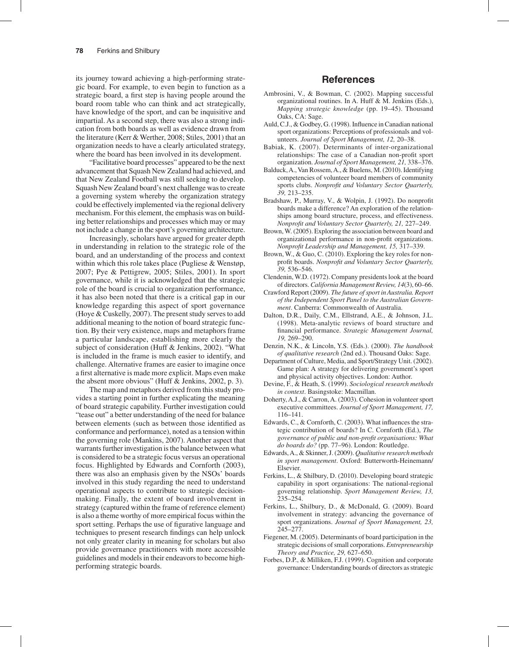its journey toward achieving a high-performing strategic board. For example, to even begin to function as a strategic board, a first step is having people around the board room table who can think and act strategically, have knowledge of the sport, and can be inquisitive and impartial. As a second step, there was also a strong indication from both boards as well as evidence drawn from the literature (Kerr & Werther, 2008; Stiles, 2001) that an organization needs to have a clearly articulated strategy, where the board has been involved in its development.

"Facilitative board processes" appeared to be the next advancement that Squash New Zealand had achieved, and that New Zealand Football was still seeking to develop. Squash New Zealand board's next challenge was to create a governing system whereby the organization strategy could be effectively implemented via the regional delivery mechanism. For this element, the emphasis was on building better relationships and processes which may or may not include a change in the sport's governing architecture.

Increasingly, scholars have argued for greater depth in understanding in relation to the strategic role of the board, and an understanding of the process and context within which this role takes place (Pugliese & Wenstøp, 2007; Pye & Pettigrew, 2005; Stiles, 2001). In sport governance, while it is acknowledged that the strategic role of the board is crucial to organization performance, it has also been noted that there is a critical gap in our knowledge regarding this aspect of sport governance (Hoye & Cuskelly, 2007). The present study serves to add additional meaning to the notion of board strategic function. By their very existence, maps and metaphors frame a particular landscape, establishing more clearly the subject of consideration (Huff & Jenkins, 2002). "What is included in the frame is much easier to identify, and challenge. Alternative frames are easier to imagine once a first alternative is made more explicit. Maps even make the absent more obvious" (Huff & Jenkins, 2002, p. 3).

The map and metaphors derived from this study provides a starting point in further explicating the meaning of board strategic capability. Further investigation could "tease out" a better understanding of the need for balance between elements (such as between those identified as conformance and performance), noted as a tension within the governing role (Mankins, 2007). Another aspect that warrants further investigation is the balance between what is considered to be a strategic focus versus an operational focus. Highlighted by Edwards and Cornforth (2003), there was also an emphasis given by the NSOs' boards involved in this study regarding the need to understand operational aspects to contribute to strategic decisionmaking. Finally, the extent of board involvement in strategy (captured within the frame of reference element) is also a theme worthy of more empirical focus within the sport setting. Perhaps the use of figurative language and techniques to present research findings can help unlock not only greater clarity in meaning for scholars but also provide governance practitioners with more accessible guidelines and models in their endeavors to become highperforming strategic boards.

#### **References**

- Ambrosini, V., & Bowman, C. (2002). Mapping successful organizational routines. In A. Huff & M. Jenkins (Eds.), *Mapping strategic knowledge* (pp. 19–45). Thousand Oaks, CA: Sage.
- Auld, C.J., & Godbey, G. (1998). Influence in Canadian national sport organizations: Perceptions of professionals and volunteers. *Journal of Sport Management, 12,* 20–38.
- Babiak, K. (2007). Determinants of inter-organizational relationships: The case of a Canadian non-profit sport organization. *Journal of Sport Management, 21,* 338–376.
- Balduck, A., Van Rossem, A., & Buelens, M. (2010). Identifying competencies of volunteer board members of community sports clubs. *Nonprofit and Voluntary Sector Quarterly, 39,* 213–235.
- Bradshaw, P., Murray, V., & Wolpin, J. (1992). Do nonprofit boards make a difference? An exploration of the relationships among board structure, process, and effectiveness. *Nonprofit and Voluntary Sector Quarterly, 21,* 227–249.
- Brown, W. (2005). Exploring the association between board and organizational performance in non-profit organizations. *Nonprofit Leadership and Management, 15,* 317–339.
- Brown, W., & Guo, C. (2010). Exploring the key roles for nonprofit boards. *Nonprofit and Voluntary Sector Quarterly, 39,* 536–546.
- Clendenin, W.D. (1972). Company presidents look at the board of directors. *California Management Review, 14*(3), 60–66.
- Crawford Report (2009). *The future of sport in Australia. Report of the Independent Sport Panel to the Australian Government*. Canberra: Commonwealth of Australia.
- Dalton, D.R., Daily, C.M., Ellstrand, A.E., & Johnson, J.L. (1998). Meta-analytic reviews of board structure and financial performance. *Strategic Management Journal, 19,* 269–290.
- Denzin, N.K., & Lincoln, Y.S. (Eds.). (2000). *The handbook of qualitative research* (2nd ed.). Thousand Oaks: Sage.
- Department of Culture, Media, and Sport/Strategy Unit. (2002). Game plan: A strategy for delivering government's sport and physical activity objectives. London: Author.
- Devine, F., & Heath, S. (1999). *Sociological research methods in context*. Basingstoke: Macmillan.
- Doherty, A.J., & Carron, A. (2003). Cohesion in volunteer sport executive committees. *Journal of Sport Management, 17,* 116–141.
- Edwards, C., & Cornforth, C. (2003). What influences the strategic contribution of boards? In C. Cornforth (Ed.), *The governance of public and non-profit organisations: What do boards do?* (pp. 77–96). London: Routledge.
- Edwards, A., & Skinner, J. (2009). *Qualitative research methods in sport management*. Oxford: Butterworth-Heinemann/ Elsevier.
- Ferkins, L., & Shilbury, D. (2010). Developing board strategic capability in sport organisations: The national-regional governing relationship. *Sport Management Review, 13,* 235–254.
- Ferkins, L., Shilbury, D., & McDonald, G. (2009). Board involvement in strategy: advancing the governance of sport organizations. *Journal of Sport Management, 23,* 245–277.
- Fiegener, M. (2005). Determinants of board participation in the strategic decisions of small corporations. *Entrepreneurship Theory and Practice, 29,* 627–650.
- Forbes, D.P., & Milliken, F.J. (1999). Cognition and corporate governance: Understanding boards of directors as strategic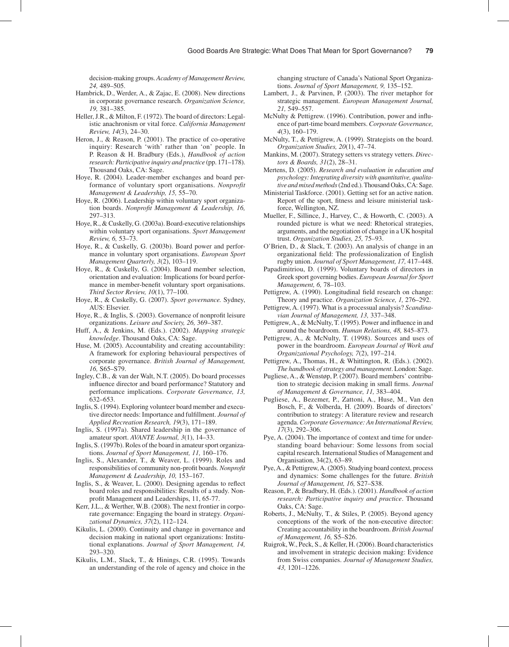decision-making groups. *Academy of Management Review, 24,* 489–505.

- Hambrick, D., Werder, A., & Zajac, E. (2008). New directions in corporate governance research. *Organization Science, 19,* 381–385.
- Heller, J.R., & Milton, F. (1972). The board of directors: Legalistic anachronism or vital force. *California Management Review, 14*(3), 24–30.
- Heron, J., & Reason, P. (2001). The practice of co-operative inquiry: Research 'with' rather than 'on' people. In P. Reason & H. Bradbury (Eds.), *Handbook of action research: Participative inquiry and practice* (pp. 171–178). Thousand Oaks, CA: Sage.
- Hoye, R. (2004). Leader-member exchanges and board performance of voluntary sport organisations. *Nonprofit Management & Leadership, 15,* 55–70.
- Hoye, R. (2006). Leadership within voluntary sport organization boards. *Nonprofit Management & Leadership, 16,* 297–313.
- Hoye, R., & Cuskelly, G. (2003a). Board-executive relationships within voluntary sport organisations. *Sport Management Review, 6,* 53–73.
- Hoye, R., & Cuskelly, G. (2003b). Board power and performance in voluntary sport organisations. *European Sport Management Quarterly, 3*(2), 103–119.
- Hoye, R., & Cuskelly, G. (2004). Board member selection, orientation and evaluation: Implications for board performance in member-benefit voluntary sport organisations. *Third Sector Review, 10*(1), 77–100.
- Hoye, R., & Cuskelly, G. (2007). *Sport governance.* Sydney, AUS: Elsevier.
- Hoye, R., & Inglis, S. (2003). Governance of nonprofit leisure organizations. *Leisure and Society, 26,* 369–387.
- Huff, A., & Jenkins, M. (Eds.). (2002). *Mapping strategic knowledge*. Thousand Oaks, CA: Sage.
- Huse, M. (2005). Accountability and creating accountability: A framework for exploring behavioural perspectives of corporate governance. *British Journal of Management, 16,* S65–S79.
- Ingley, C.B., & van der Walt, N.T. (2005). Do board processes influence director and board performance? Statutory and performance implications. *Corporate Governance, 13,* 632–653.
- Inglis, S. (1994). Exploring volunteer board member and executive director needs: Importance and fulfillment. *Journal of Applied Recreation Research, 19*(3), 171–189.
- Inglis, S. (1997a). Shared leadership in the governance of amateur sport. *AVANTE Journal, 3*(1), 14–33.
- Inglis, S. (1997b). Roles of the board in amateur sport organizations. *Journal of Sport Management, 11,* 160–176.
- Inglis, S., Alexander, T., & Weaver, L. (1999). Roles and responsibilities of community non-profit boards. *Nonprofit Management & Leadership, 10,* 153–167.
- Inglis, S., & Weaver, L. (2000). Designing agendas to reflect board roles and responsibilities: Results of a study. Nonprofit Management and Leaderships, 11, 65-77.

Kerr, J.L., & Werther, W.B. (2008). The next frontier in corporate governance: Engaging the board in strategy. *Organizational Dynamics, 37*(2), 112–124.

- Kikulis, L. (2000). Continuity and change in governance and decision making in national sport organizations: Institutional explanations. *Journal of Sport Management, 14,* 293–320.
- Kikulis, L.M., Slack, T., & Hinings, C.R. (1995). Towards an understanding of the role of agency and choice in the

changing structure of Canada's National Sport Organizations. *Journal of Sport Management, 9,* 135–152.

- Lambert, J., & Parvinen, P. (2003). The river metaphor for strategic management. *European Management Journal, 21,* 549–557.
- McNulty & Pettigrew. (1996). Contribution, power and influence of part-time board members. *Corporate Governance, 4*(3), 160–179.
- McNulty, T., & Pettigrew, A. (1999). Strategists on the board. *Organization Studies, 20*(1), 47–74.
- Mankins, M. (2007). Strategy setters vs strategy vetters. *Directors & Boards, 31*(2), 28–31.
- Mertens, D. (2005). *Research and evaluation in education and psychology: Integrating diversity with quantitative, qualitative and mixed methods* (2nd ed.). Thousand Oaks, CA: Sage.
- Ministerial Taskforce. (2001). Getting set for an active nation. Report of the sport, fitness and leisure ministerial taskforce, Wellington, NZ.
- Mueller, F., Sillince, J., Harvey, C., & Howorth, C. (2003). A rounded picture is what we need: Rhetorical strategies, arguments, and the negotiation of change in a UK hospital trust. *Organization Studies, 25,* 75–93.
- O'Brien, D., & Slack, T. (2003). An analysis of change in an organizational field: The professionalization of English rugby union. *Journal of Sport Management, 17,* 417–448.
- Papadimitriou, D. (1999). Voluntary boards of directors in Greek sport governing bodies. *European Journal for Sport Management, 6,* 78–103.
- Pettigrew, A. (1990). Longitudinal field research on change: Theory and practice. *Organization Science, 1,* 276–292.
- Pettigrew, A. (1997). What is a processual analysis? *Scandinavian Journal of Management, 13,* 337–348.
- Pettigrew, A., & McNulty, T. (1995). Power and influence in and around the boardroom. *Human Relations, 48,* 845–873.
- Pettigrew, A., & McNulty, T. (1998). Sources and uses of power in the boardroom. *European Journal of Work and Organizational Psychology, 7*(2), 197–214.
- Pettigrew, A., Thomas, H., & Whittington, R. (Eds.). (2002). *The handbook of strategy and management*. London: Sage.
- Pugliese, A., & Wenstøp, P. (2007). Board members' contribution to strategic decision making in small firms. *Journal of Management & Governance, 11,* 383–404.
- Pugliese, A., Bezemer, P., Zattoni, A., Huse, M., Van den Bosch, F., & Volberda, H. (2009). Boards of directors' contribution to strategy: A literature review and research agenda. *Corporate Governance: An International Review, 17*(3), 292–306.
- Pye, A. (2004). The importance of context and time for understanding board behaviour: Some lessons from social capital research. International Studies of Management and Organisation, 34(2), 63–89.
- Pye, A., & Pettigrew, A. (2005). Studying board context, process and dynamics: Some challenges for the future. *British Journal of Management, 16,* S27–S38.
- Reason, P., & Bradbury, H. (Eds.). (2001). *Handbook of action research: Participative inquiry and practice*. Thousand Oaks, CA: Sage.
- Roberts, J., McNulty, T., & Stiles, P. (2005). Beyond agency conceptions of the work of the non-executive director: Creating accountability in the boardroom. *British Journal of Management, 16,* S5–S26.
- Ruigrok, W., Peck, S., & Keller, H. (2006). Board characteristics and involvement in strategic decision making: Evidence from Swiss companies. *Journal of Management Studies, 43,* 1201–1226.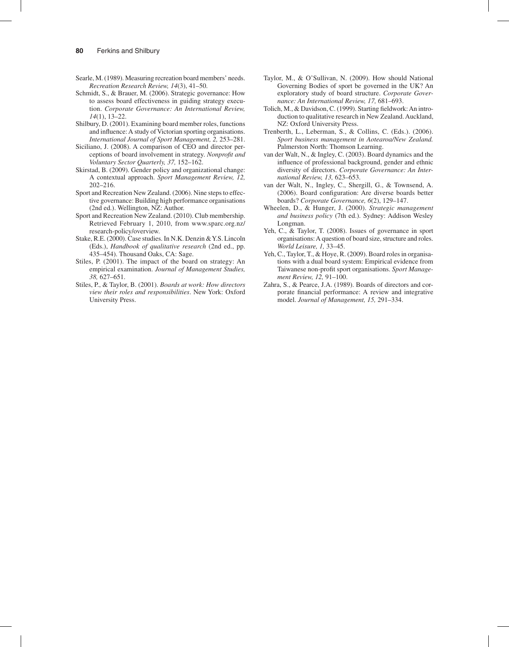- Searle, M. (1989). Measuring recreation board members' needs. *Recreation Research Review, 14*(3), 41–50.
- Schmidt, S., & Brauer, M. (2006). Strategic governance: How to assess board effectiveness in guiding strategy execution. *Corporate Governance: An International Review, 14*(1), 13–22.
- Shilbury, D. (2001). Examining board member roles, functions and influence: A study of Victorian sporting organisations. *International Journal of Sport Management, 2,* 253–281.
- Siciliano, J. (2008). A comparison of CEO and director perceptions of board involvement in strategy. *Nonprofit and Voluntary Sector Quarterly, 37,* 152–162.
- Skirstad, B. (2009). Gender policy and organizational change: A contextual approach. *Sport Management Review, 12,* 202–216.
- Sport and Recreation New Zealand. (2006). Nine steps to effective governance: Building high performance organisations (2nd ed.). Wellington, NZ: Author.
- Sport and Recreation New Zealand. (2010). Club membership. Retrieved February 1, 2010, from www.sparc.org.nz/ research-policy/overview.
- Stake, R.E. (2000). Case studies. In N.K. Denzin & Y.S. Lincoln (Eds.), *Handbook of qualitative research* (2nd ed., pp. 435–454). Thousand Oaks, CA: Sage.
- Stiles, P. (2001). The impact of the board on strategy: An empirical examination. *Journal of Management Studies, 38,* 627–651.
- Stiles, P., & Taylor, B. (2001). *Boards at work: How directors view their roles and responsibilities*. New York: Oxford University Press.
- Taylor, M., & O'Sullivan, N. (2009). How should National Governing Bodies of sport be governed in the UK? An exploratory study of board structure. *Corporate Governance: An International Review, 17,* 681–693.
- Tolich, M., & Davidson, C. (1999). Starting fieldwork: An introduction to qualitative research in New Zealand. Auckland, NZ: Oxford University Press.
- Trenberth, L., Leberman, S., & Collins, C. (Eds.). (2006). *Sport business management in Aotearoa/New Zealand.* Palmerston North: Thomson Learning.
- van der Walt, N., & Ingley, C. (2003). Board dynamics and the influence of professional background, gender and ethnic diversity of directors. *Corporate Governance: An International Review, 13,* 623–653.
- van der Walt, N., Ingley, C., Shergill, G., & Townsend, A. (2006). Board configuration: Are diverse boards better boards? *Corporate Governance, 6*(2), 129–147.
- Wheelen, D., & Hunger, J. (2000). *Strategic management and business policy* (7th ed.). Sydney: Addison Wesley Longman.
- Yeh, C., & Taylor, T. (2008). Issues of governance in sport organisations: A question of board size, structure and roles. *World Leisure, 1,* 33–45.
- Yeh, C., Taylor, T., & Hoye, R. (2009). Board roles in organisations with a dual board system: Empirical evidence from Taiwanese non-profit sport organisations. *Sport Management Review, 12,* 91–100.
- Zahra, S., & Pearce, J.A. (1989). Boards of directors and corporate financial performance: A review and integrative model. *Journal of Management, 15,* 291–334.